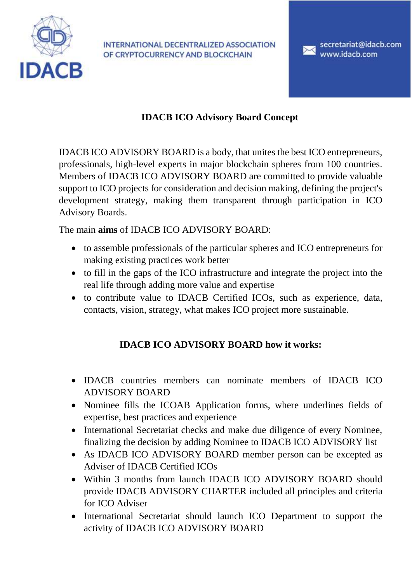

INTERNATIONAL DECENTRALIZED ASSOCIATION OF CRYPTOCURRENCY AND BLOCKCHAIN

secretariat@idacb.com www.idacb.com

## **IDACB ICO Advisory Board Concept**

IDACB ICO ADVISORY BOARD is a body, that unites the best ICO entrepreneurs, professionals, high-level experts in major blockchain spheres from 100 countries. Members of IDACB ICO ADVISORY BOARD are committed to provide valuable support to ICO projects for consideration and decision making, defining the project's development strategy, making them transparent through participation in ICO Advisory Boards.

The main **aims** of IDACB ICO ADVISORY BOARD:

- to assemble professionals of the particular spheres and ICO entrepreneurs for making existing practices work better
- to fill in the gaps of the ICO infrastructure and integrate the project into the real life through adding more value and expertise
- to contribute value to IDACB Certified ICOs, such as experience, data, contacts, vision, strategy, what makes ICO project more sustainable.

## **IDACB ICO ADVISORY BOARD how it works:**

- IDACB countries members can nominate members of IDACB ICO ADVISORY BOARD
- Nominee fills the ICOAB Application forms, where underlines fields of expertise, best practices and experience
- International Secretariat checks and make due diligence of every Nominee, finalizing the decision by adding Nominee to IDACB ICO ADVISORY list
- As IDACB ICO ADVISORY BOARD member person can be excepted as Adviser of IDACB Certified ICOs
- Within 3 months from launch IDACB ICO ADVISORY BOARD should provide IDACB ADVISORY CHARTER included all principles and criteria for ICO Adviser
- International Secretariat should launch ICO Department to support the activity of IDACB ICO ADVISORY BOARD